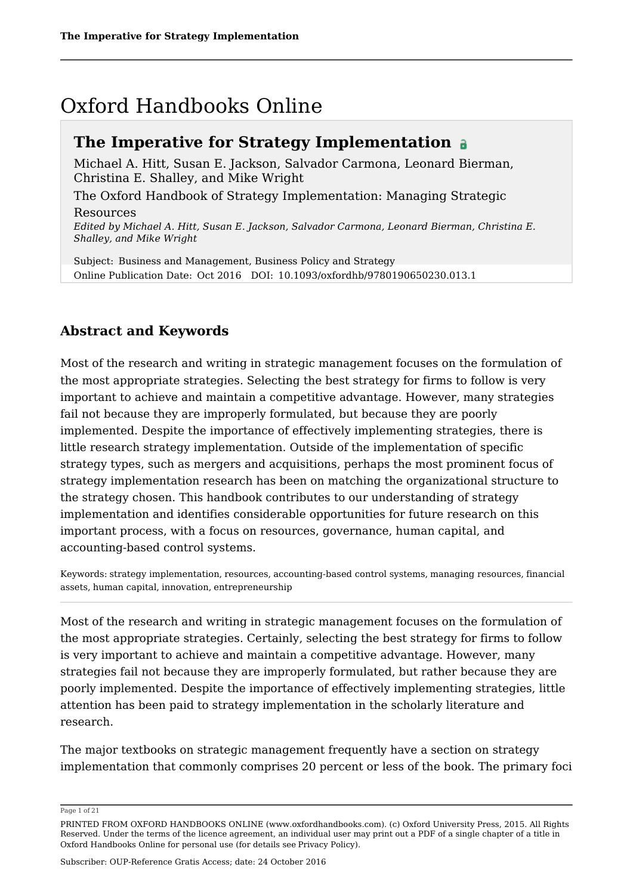# Oxford Handbooks Online

### **The Imperative for Strategy Implementation**

Michael A. Hitt, Susan E. Jackson, Salvador Carmona, Leonard Bierman, Christina E. Shalley, and Mike Wright The Oxford Handbook of Strategy Implementation: Managing Strategic Resources *Edited by Michael A. Hitt, Susan E. Jackson, Salvador Carmona, Leonard Bierman, Christina E. Shalley, and Mike Wright*

Subject: Business and Management, Business Policy and Strategy Online Publication Date: Oct 2016 DOI: 10.1093/oxfordhb/9780190650230.013.1

### **Abstract and Keywords**

Most of the research and writing in strategic management focuses on the formulation of the most appropriate strategies. Selecting the best strategy for firms to follow is very important to achieve and maintain a competitive advantage. However, many strategies fail not because they are improperly formulated, but because they are poorly implemented. Despite the importance of effectively implementing strategies, there is little research strategy implementation. Outside of the implementation of specific strategy types, such as mergers and acquisitions, perhaps the most prominent focus of strategy implementation research has been on matching the organizational structure to the strategy chosen. This handbook contributes to our understanding of strategy implementation and identifies considerable opportunities for future research on this important process, with a focus on resources, governance, human capital, and accounting-based control systems.

Keywords: strategy implementation, resources, accounting-based control systems, managing resources, financial assets, human capital, innovation, entrepreneurship

Most of the research and writing in strategic management focuses on the formulation of the most appropriate strategies. Certainly, selecting the best strategy for firms to follow is very important to achieve and maintain a competitive advantage. However, many strategies fail not because they are improperly formulated, but rather because they are poorly implemented. Despite the importance of effectively implementing strategies, little attention has been paid to strategy implementation in the scholarly literature and research.

The major textbooks on strategic management frequently have a section on strategy implementation that commonly comprises 20 percent or less of the book. The primary foci

Page 1 of 21

PRINTED FROM OXFORD HANDBOOKS ONLINE (www.oxfordhandbooks.com). (c) Oxford University Press, 2015. All Rights Reserved. Under the terms of the licence agreement, an individual user may print out a PDF of a single chapter of a title in Oxford Handbooks Online for personal use (for details see Privacy Policy).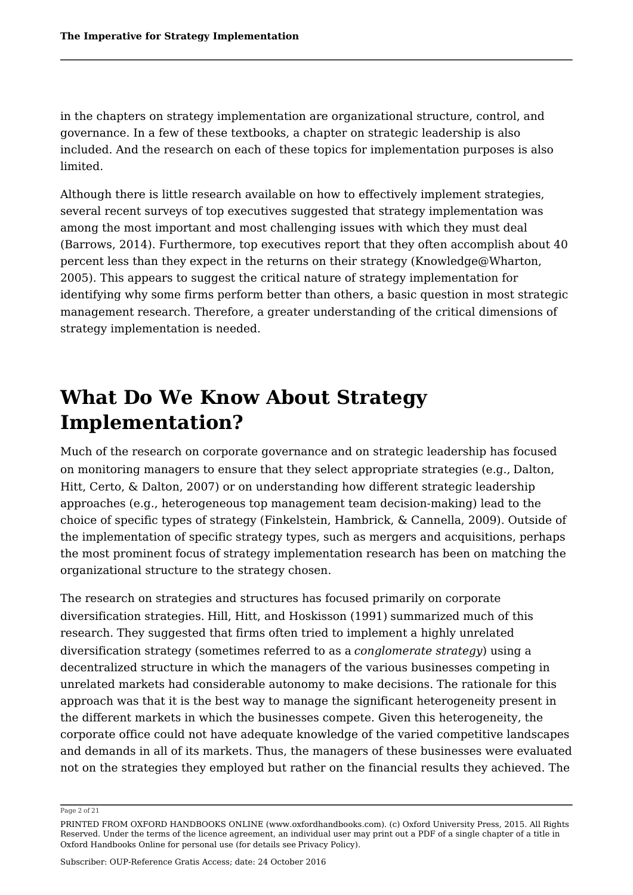in the chapters on strategy implementation are organizational structure, control, and governance. In a few of these textbooks, a chapter on strategic leadership is also included. And the research on each of these topics for implementation purposes is also limited.

Although there is little research available on how to effectively implement strategies, several recent surveys of top executives suggested that strategy implementation was among the most important and most challenging issues with which they must deal (Barrows, 2014). Furthermore, top executives report that they often accomplish about 40 percent less than they expect in the returns on their strategy (Knowledge@Wharton, 2005). This appears to suggest the critical nature of strategy implementation for identifying why some firms perform better than others, a basic question in most strategic management research. Therefore, a greater understanding of the critical dimensions of strategy implementation is needed.

# **What Do We Know About Strategy Implementation?**

Much of the research on corporate governance and on strategic leadership has focused on monitoring managers to ensure that they select appropriate strategies (e.g., Dalton, Hitt, Certo, & Dalton, 2007) or on understanding how different strategic leadership approaches (e.g., heterogeneous top management team decision-making) lead to the choice of specific types of strategy (Finkelstein, Hambrick, & Cannella, 2009). Outside of the implementation of specific strategy types, such as mergers and acquisitions, perhaps the most prominent focus of strategy implementation research has been on matching the organizational structure to the strategy chosen.

The research on strategies and structures has focused primarily on corporate diversification strategies. Hill, Hitt, and Hoskisson (1991) summarized much of this research. They suggested that firms often tried to implement a highly unrelated diversification strategy (sometimes referred to as a *conglomerate strategy*) using a decentralized structure in which the managers of the various businesses competing in unrelated markets had considerable autonomy to make decisions. The rationale for this approach was that it is the best way to manage the significant heterogeneity present in the different markets in which the businesses compete. Given this heterogeneity, the corporate office could not have adequate knowledge of the varied competitive landscapes and demands in all of its markets. Thus, the managers of these businesses were evaluated not on the strategies they employed but rather on the financial results they achieved. The

#### Page 2 of 21

PRINTED FROM OXFORD HANDBOOKS ONLINE (www.oxfordhandbooks.com). (c) Oxford University Press, 2015. All Rights Reserved. Under the terms of the licence agreement, an individual user may print out a PDF of a single chapter of a title in Oxford Handbooks Online for personal use (for details see Privacy Policy).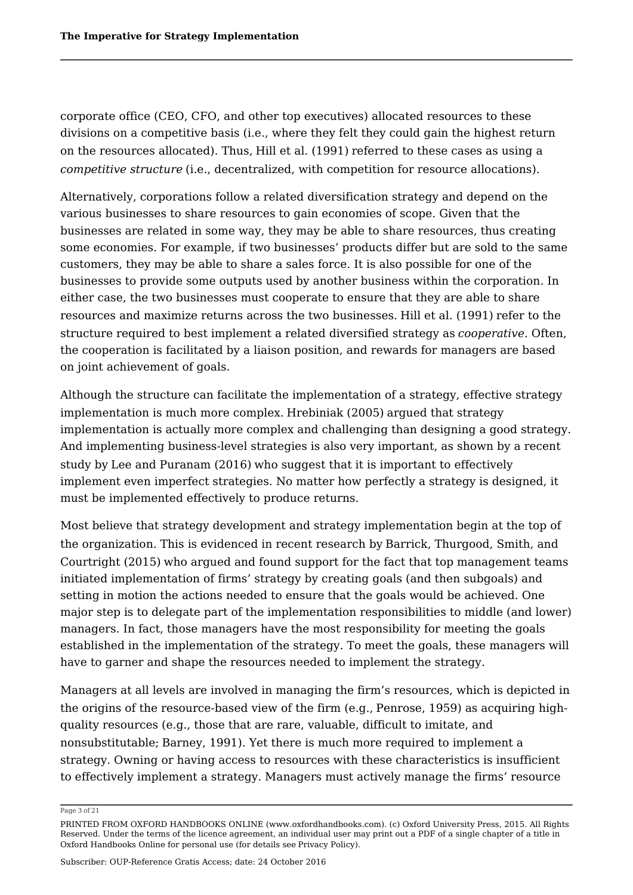corporate office (CEO, CFO, and other top executives) allocated resources to these divisions on a competitive basis (i.e., where they felt they could gain the highest return on the resources allocated). Thus, Hill et al. (1991) referred to these cases as using a *competitive structure* (i.e., decentralized, with competition for resource allocations).

Alternatively, corporations follow a related diversification strategy and depend on the various businesses to share resources to gain economies of scope. Given that the businesses are related in some way, they may be able to share resources, thus creating some economies. For example, if two businesses' products differ but are sold to the same customers, they may be able to share a sales force. It is also possible for one of the businesses to provide some outputs used by another business within the corporation. In either case, the two businesses must cooperate to ensure that they are able to share resources and maximize returns across the two businesses. Hill et al. (1991) refer to the structure required to best implement a related diversified strategy as *cooperative*. Often, the cooperation is facilitated by a liaison position, and rewards for managers are based on joint achievement of goals.

Although the structure can facilitate the implementation of a strategy, effective strategy implementation is much more complex. Hrebiniak (2005) argued that strategy implementation is actually more complex and challenging than designing a good strategy. And implementing business-level strategies is also very important, as shown by a recent study by Lee and Puranam (2016) who suggest that it is important to effectively implement even imperfect strategies. No matter how perfectly a strategy is designed, it must be implemented effectively to produce returns.

Most believe that strategy development and strategy implementation begin at the top of the organization. This is evidenced in recent research by Barrick, Thurgood, Smith, and Courtright (2015) who argued and found support for the fact that top management teams initiated implementation of firms' strategy by creating goals (and then subgoals) and setting in motion the actions needed to ensure that the goals would be achieved. One major step is to delegate part of the implementation responsibilities to middle (and lower) managers. In fact, those managers have the most responsibility for meeting the goals established in the implementation of the strategy. To meet the goals, these managers will have to garner and shape the resources needed to implement the strategy.

Managers at all levels are involved in managing the firm's resources, which is depicted in the origins of the resource-based view of the firm (e.g., Penrose, 1959) as acquiring highquality resources (e.g., those that are rare, valuable, difficult to imitate, and nonsubstitutable; Barney, 1991). Yet there is much more required to implement a strategy. Owning or having access to resources with these characteristics is insufficient to effectively implement a strategy. Managers must actively manage the firms' resource

Page 3 of 21

PRINTED FROM OXFORD HANDBOOKS ONLINE (www.oxfordhandbooks.com). (c) Oxford University Press, 2015. All Rights Reserved. Under the terms of the licence agreement, an individual user may print out a PDF of a single chapter of a title in Oxford Handbooks Online for personal use (for details see Privacy Policy).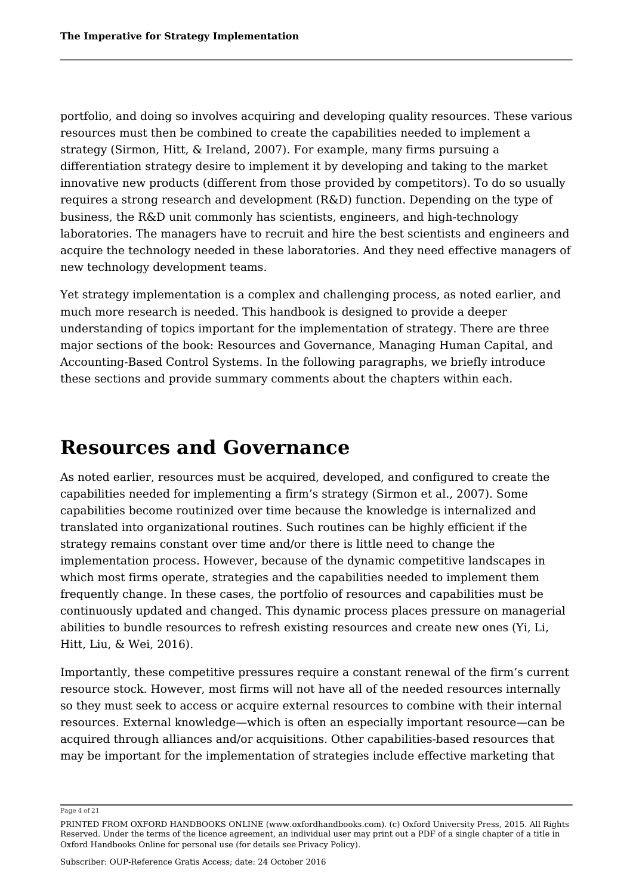portfolio, and doing so involves acquiring and developing quality resources. These various resources must then be combined to create the capabilities needed to implement a strategy (Sirmon, Hitt, & Ireland, 2007). For example, many firms pursuing a differentiation strategy desire to implement it by developing and taking to the market innovative new products (different from those provided by competitors). To do so usually requires a strong research and development (R&D) function. Depending on the type of business, the R&D unit commonly has scientists, engineers, and high-technology laboratories. The managers have to recruit and hire the best scientists and engineers and acquire the technology needed in these laboratories. And they need effective managers of new technology development teams.

Yet strategy implementation is a complex and challenging process, as noted earlier, and much more research is needed. This handbook is designed to provide a deeper understanding of topics important for the implementation of strategy. There are three major sections of the book: Resources and Governance, Managing Human Capital, and Accounting-Based Control Systems. In the following paragraphs, we briefly introduce these sections and provide summary comments about the chapters within each.

## **Resources and Governance**

As noted earlier, resources must be acquired, developed, and configured to create the capabilities needed for implementing a firm's strategy (Sirmon et al., 2007). Some capabilities become routinized over time because the knowledge is internalized and translated into organizational routines. Such routines can be highly efficient if the strategy remains constant over time and/or there is little need to change the implementation process. However, because of the dynamic competitive landscapes in which most firms operate, strategies and the capabilities needed to implement them frequently change. In these cases, the portfolio of resources and capabilities must be continuously updated and changed. This dynamic process places pressure on managerial abilities to bundle resources to refresh existing resources and create new ones (Yi, Li, Hitt, Liu, & Wei, 2016).

Importantly, these competitive pressures require a constant renewal of the firm's current resource stock. However, most firms will not have all of the needed resources internally so they must seek to access or acquire external resources to combine with their internal resources. External knowledge—which is often an especially important resource—can be acquired through alliances and/or acquisitions. Other capabilities-based resources that may be important for the implementation of strategies include effective marketing that

Page 4 of 21

PRINTED FROM OXFORD HANDBOOKS ONLINE (www.oxfordhandbooks.com). (c) Oxford University Press, 2015. All Rights Reserved. Under the terms of the licence agreement, an individual user may print out a PDF of a single chapter of a title in Oxford Handbooks Online for personal use (for details see Privacy Policy).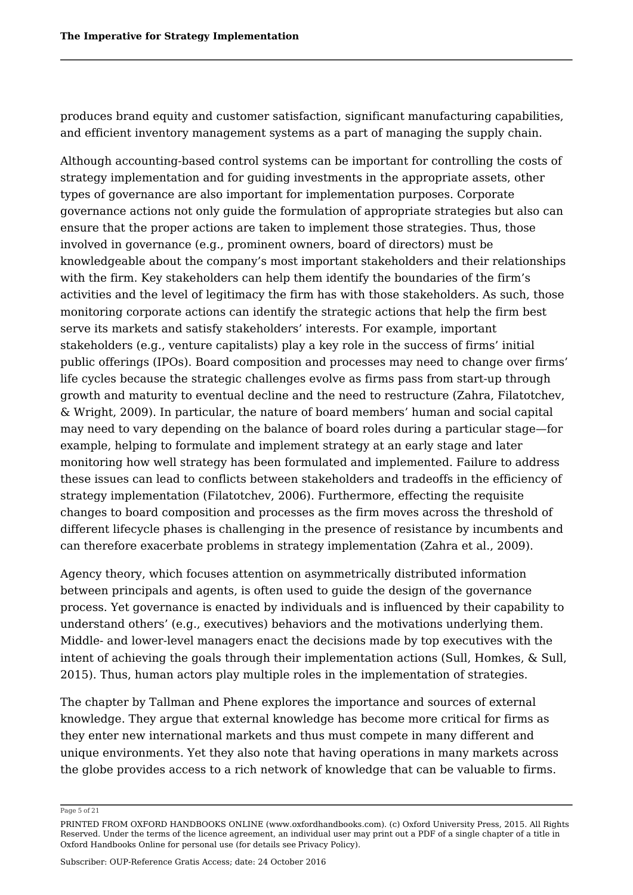produces brand equity and customer satisfaction, significant manufacturing capabilities, and efficient inventory management systems as a part of managing the supply chain.

Although accounting-based control systems can be important for controlling the costs of strategy implementation and for guiding investments in the appropriate assets, other types of governance are also important for implementation purposes. Corporate governance actions not only guide the formulation of appropriate strategies but also can ensure that the proper actions are taken to implement those strategies. Thus, those involved in governance (e.g., prominent owners, board of directors) must be knowledgeable about the company's most important stakeholders and their relationships with the firm. Key stakeholders can help them identify the boundaries of the firm's activities and the level of legitimacy the firm has with those stakeholders. As such, those monitoring corporate actions can identify the strategic actions that help the firm best serve its markets and satisfy stakeholders' interests. For example, important stakeholders (e.g., venture capitalists) play a key role in the success of firms' initial public offerings (IPOs). Board composition and processes may need to change over firms' life cycles because the strategic challenges evolve as firms pass from start-up through growth and maturity to eventual decline and the need to restructure (Zahra, Filatotchev, & Wright, 2009). In particular, the nature of board members' human and social capital may need to vary depending on the balance of board roles during a particular stage—for example, helping to formulate and implement strategy at an early stage and later monitoring how well strategy has been formulated and implemented. Failure to address these issues can lead to conflicts between stakeholders and tradeoffs in the efficiency of strategy implementation (Filatotchev, 2006). Furthermore, effecting the requisite changes to board composition and processes as the firm moves across the threshold of different lifecycle phases is challenging in the presence of resistance by incumbents and can therefore exacerbate problems in strategy implementation (Zahra et al., 2009).

Agency theory, which focuses attention on asymmetrically distributed information between principals and agents, is often used to guide the design of the governance process. Yet governance is enacted by individuals and is influenced by their capability to understand others' (e.g., executives) behaviors and the motivations underlying them. Middle- and lower-level managers enact the decisions made by top executives with the intent of achieving the goals through their implementation actions (Sull, Homkes, & Sull, 2015). Thus, human actors play multiple roles in the implementation of strategies.

The chapter by Tallman and Phene explores the importance and sources of external knowledge. They argue that external knowledge has become more critical for firms as they enter new international markets and thus must compete in many different and unique environments. Yet they also note that having operations in many markets across the globe provides access to a rich network of knowledge that can be valuable to firms.

Page 5 of 21

PRINTED FROM OXFORD HANDBOOKS ONLINE (www.oxfordhandbooks.com). (c) Oxford University Press, 2015. All Rights Reserved. Under the terms of the licence agreement, an individual user may print out a PDF of a single chapter of a title in Oxford Handbooks Online for personal use (for details see Privacy Policy).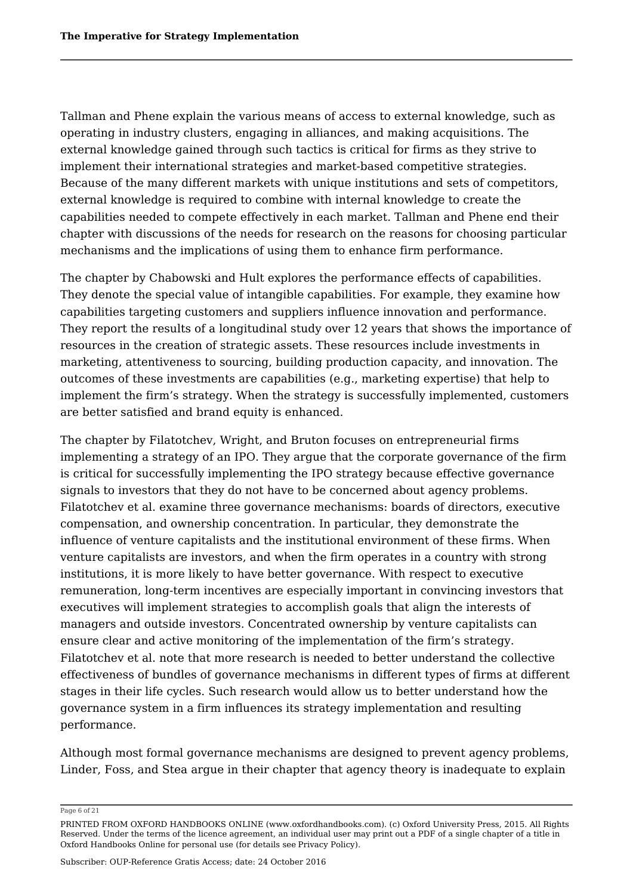Tallman and Phene explain the various means of access to external knowledge, such as operating in industry clusters, engaging in alliances, and making acquisitions. The external knowledge gained through such tactics is critical for firms as they strive to implement their international strategies and market-based competitive strategies. Because of the many different markets with unique institutions and sets of competitors, external knowledge is required to combine with internal knowledge to create the capabilities needed to compete effectively in each market. Tallman and Phene end their chapter with discussions of the needs for research on the reasons for choosing particular mechanisms and the implications of using them to enhance firm performance.

The chapter by Chabowski and Hult explores the performance effects of capabilities. They denote the special value of intangible capabilities. For example, they examine how capabilities targeting customers and suppliers influence innovation and performance. They report the results of a longitudinal study over 12 years that shows the importance of resources in the creation of strategic assets. These resources include investments in marketing, attentiveness to sourcing, building production capacity, and innovation. The outcomes of these investments are capabilities (e.g., marketing expertise) that help to implement the firm's strategy. When the strategy is successfully implemented, customers are better satisfied and brand equity is enhanced.

The chapter by Filatotchev, Wright, and Bruton focuses on entrepreneurial firms implementing a strategy of an IPO. They argue that the corporate governance of the firm is critical for successfully implementing the IPO strategy because effective governance signals to investors that they do not have to be concerned about agency problems. Filatotchev et al. examine three governance mechanisms: boards of directors, executive compensation, and ownership concentration. In particular, they demonstrate the influence of venture capitalists and the institutional environment of these firms. When venture capitalists are investors, and when the firm operates in a country with strong institutions, it is more likely to have better governance. With respect to executive remuneration, long-term incentives are especially important in convincing investors that executives will implement strategies to accomplish goals that align the interests of managers and outside investors. Concentrated ownership by venture capitalists can ensure clear and active monitoring of the implementation of the firm's strategy. Filatotchev et al. note that more research is needed to better understand the collective effectiveness of bundles of governance mechanisms in different types of firms at different stages in their life cycles. Such research would allow us to better understand how the governance system in a firm influences its strategy implementation and resulting performance.

Although most formal governance mechanisms are designed to prevent agency problems, Linder, Foss, and Stea argue in their chapter that agency theory is inadequate to explain

Page 6 of 21

PRINTED FROM OXFORD HANDBOOKS ONLINE (www.oxfordhandbooks.com). (c) Oxford University Press, 2015. All Rights Reserved. Under the terms of the licence agreement, an individual user may print out a PDF of a single chapter of a title in Oxford Handbooks Online for personal use (for details see Privacy Policy).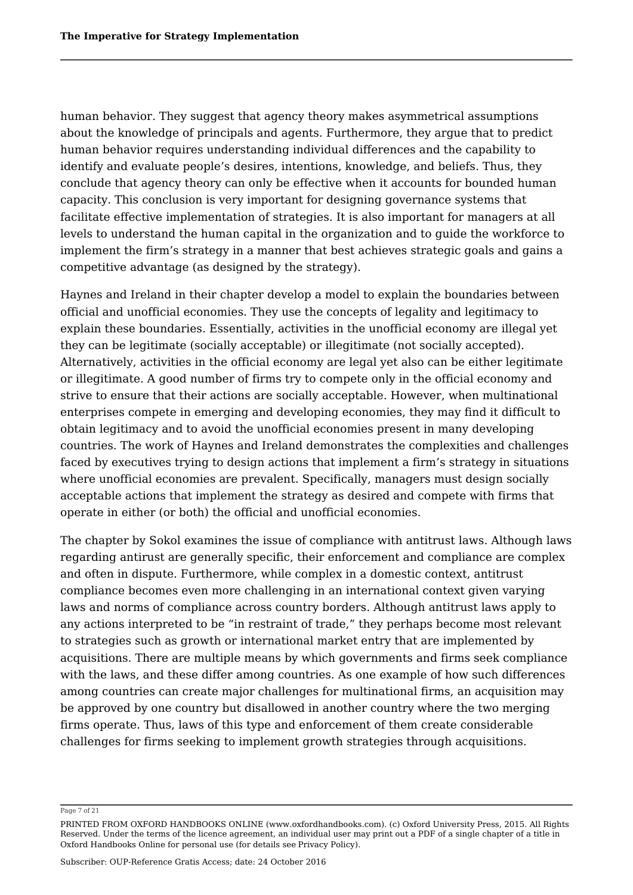human behavior. They suggest that agency theory makes asymmetrical assumptions about the knowledge of principals and agents. Furthermore, they argue that to predict human behavior requires understanding individual differences and the capability to identify and evaluate people's desires, intentions, knowledge, and beliefs. Thus, they conclude that agency theory can only be effective when it accounts for bounded human capacity. This conclusion is very important for designing governance systems that facilitate effective implementation of strategies. It is also important for managers at all levels to understand the human capital in the organization and to guide the workforce to implement the firm's strategy in a manner that best achieves strategic goals and gains a competitive advantage (as designed by the strategy).

Haynes and Ireland in their chapter develop a model to explain the boundaries between official and unofficial economies. They use the concepts of legality and legitimacy to explain these boundaries. Essentially, activities in the unofficial economy are illegal yet they can be legitimate (socially acceptable) or illegitimate (not socially accepted). Alternatively, activities in the official economy are legal yet also can be either legitimate or illegitimate. A good number of firms try to compete only in the official economy and strive to ensure that their actions are socially acceptable. However, when multinational enterprises compete in emerging and developing economies, they may find it difficult to obtain legitimacy and to avoid the unofficial economies present in many developing countries. The work of Haynes and Ireland demonstrates the complexities and challenges faced by executives trying to design actions that implement a firm's strategy in situations where unofficial economies are prevalent. Specifically, managers must design socially acceptable actions that implement the strategy as desired and compete with firms that operate in either (or both) the official and unofficial economies.

The chapter by Sokol examines the issue of compliance with antitrust laws. Although laws regarding antirust are generally specific, their enforcement and compliance are complex and often in dispute. Furthermore, while complex in a domestic context, antitrust compliance becomes even more challenging in an international context given varying laws and norms of compliance across country borders. Although antitrust laws apply to any actions interpreted to be "in restraint of trade," they perhaps become most relevant to strategies such as growth or international market entry that are implemented by acquisitions. There are multiple means by which governments and firms seek compliance with the laws, and these differ among countries. As one example of how such differences among countries can create major challenges for multinational firms, an acquisition may be approved by one country but disallowed in another country where the two merging firms operate. Thus, laws of this type and enforcement of them create considerable challenges for firms seeking to implement growth strategies through acquisitions.

Page 7 of 21

PRINTED FROM OXFORD HANDBOOKS ONLINE (www.oxfordhandbooks.com). (c) Oxford University Press, 2015. All Rights Reserved. Under the terms of the licence agreement, an individual user may print out a PDF of a single chapter of a title in Oxford Handbooks Online for personal use (for details see Privacy Policy).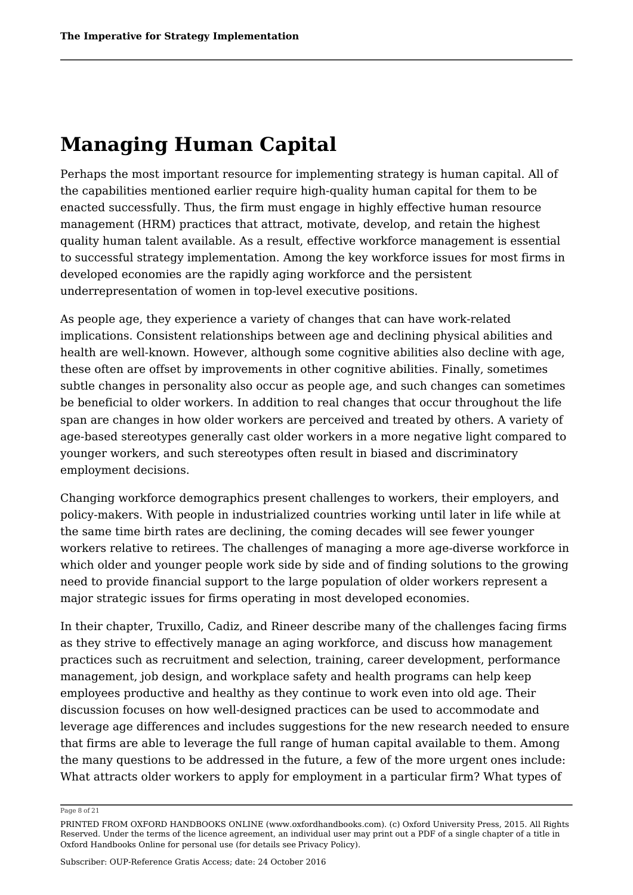# **Managing Human Capital**

Perhaps the most important resource for implementing strategy is human capital. All of the capabilities mentioned earlier require high-quality human capital for them to be enacted successfully. Thus, the firm must engage in highly effective human resource management (HRM) practices that attract, motivate, develop, and retain the highest quality human talent available. As a result, effective workforce management is essential to successful strategy implementation. Among the key workforce issues for most firms in developed economies are the rapidly aging workforce and the persistent underrepresentation of women in top-level executive positions.

As people age, they experience a variety of changes that can have work-related implications. Consistent relationships between age and declining physical abilities and health are well-known. However, although some cognitive abilities also decline with age, these often are offset by improvements in other cognitive abilities. Finally, sometimes subtle changes in personality also occur as people age, and such changes can sometimes be beneficial to older workers. In addition to real changes that occur throughout the life span are changes in how older workers are perceived and treated by others. A variety of age-based stereotypes generally cast older workers in a more negative light compared to younger workers, and such stereotypes often result in biased and discriminatory employment decisions.

Changing workforce demographics present challenges to workers, their employers, and policy-makers. With people in industrialized countries working until later in life while at the same time birth rates are declining, the coming decades will see fewer younger workers relative to retirees. The challenges of managing a more age-diverse workforce in which older and younger people work side by side and of finding solutions to the growing need to provide financial support to the large population of older workers represent a major strategic issues for firms operating in most developed economies.

In their chapter, Truxillo, Cadiz, and Rineer describe many of the challenges facing firms as they strive to effectively manage an aging workforce, and discuss how management practices such as recruitment and selection, training, career development, performance management, job design, and workplace safety and health programs can help keep employees productive and healthy as they continue to work even into old age. Their discussion focuses on how well-designed practices can be used to accommodate and leverage age differences and includes suggestions for the new research needed to ensure that firms are able to leverage the full range of human capital available to them. Among the many questions to be addressed in the future, a few of the more urgent ones include: What attracts older workers to apply for employment in a particular firm? What types of

Page 8 of 21

PRINTED FROM OXFORD HANDBOOKS ONLINE (www.oxfordhandbooks.com). (c) Oxford University Press, 2015. All Rights Reserved. Under the terms of the licence agreement, an individual user may print out a PDF of a single chapter of a title in Oxford Handbooks Online for personal use (for details see Privacy Policy).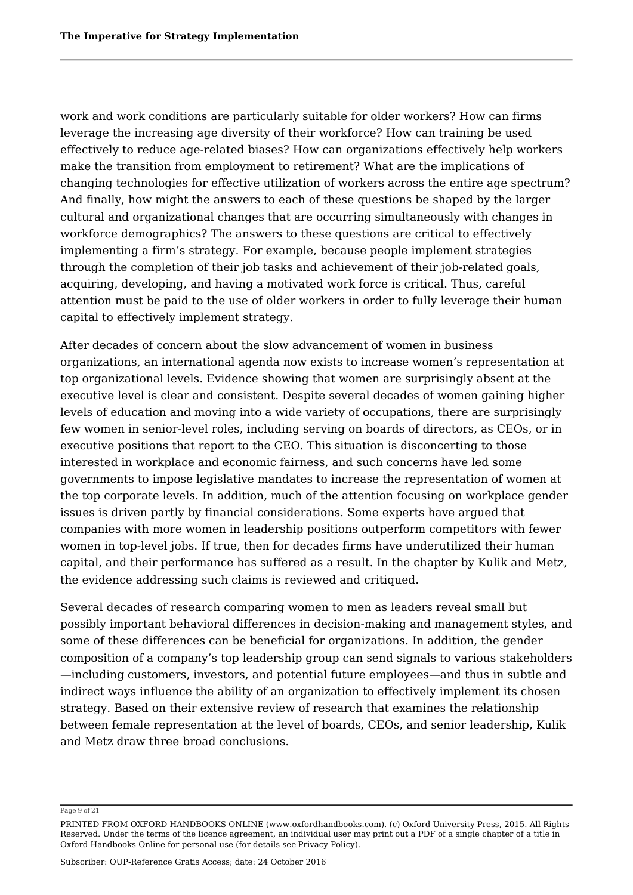work and work conditions are particularly suitable for older workers? How can firms leverage the increasing age diversity of their workforce? How can training be used effectively to reduce age-related biases? How can organizations effectively help workers make the transition from employment to retirement? What are the implications of changing technologies for effective utilization of workers across the entire age spectrum? And finally, how might the answers to each of these questions be shaped by the larger cultural and organizational changes that are occurring simultaneously with changes in workforce demographics? The answers to these questions are critical to effectively implementing a firm's strategy. For example, because people implement strategies through the completion of their job tasks and achievement of their job-related goals, acquiring, developing, and having a motivated work force is critical. Thus, careful attention must be paid to the use of older workers in order to fully leverage their human capital to effectively implement strategy.

After decades of concern about the slow advancement of women in business organizations, an international agenda now exists to increase women's representation at top organizational levels. Evidence showing that women are surprisingly absent at the executive level is clear and consistent. Despite several decades of women gaining higher levels of education and moving into a wide variety of occupations, there are surprisingly few women in senior-level roles, including serving on boards of directors, as CEOs, or in executive positions that report to the CEO. This situation is disconcerting to those interested in workplace and economic fairness, and such concerns have led some governments to impose legislative mandates to increase the representation of women at the top corporate levels. In addition, much of the attention focusing on workplace gender issues is driven partly by financial considerations. Some experts have argued that companies with more women in leadership positions outperform competitors with fewer women in top-level jobs. If true, then for decades firms have underutilized their human capital, and their performance has suffered as a result. In the chapter by Kulik and Metz, the evidence addressing such claims is reviewed and critiqued.

Several decades of research comparing women to men as leaders reveal small but possibly important behavioral differences in decision-making and management styles, and some of these differences can be beneficial for organizations. In addition, the gender composition of a company's top leadership group can send signals to various stakeholders —including customers, investors, and potential future employees—and thus in subtle and indirect ways influence the ability of an organization to effectively implement its chosen strategy. Based on their extensive review of research that examines the relationship between female representation at the level of boards, CEOs, and senior leadership, Kulik and Metz draw three broad conclusions.

Page 9 of 21

PRINTED FROM OXFORD HANDBOOKS ONLINE (www.oxfordhandbooks.com). (c) Oxford University Press, 2015. All Rights Reserved. Under the terms of the licence agreement, an individual user may print out a PDF of a single chapter of a title in Oxford Handbooks Online for personal use (for details see Privacy Policy).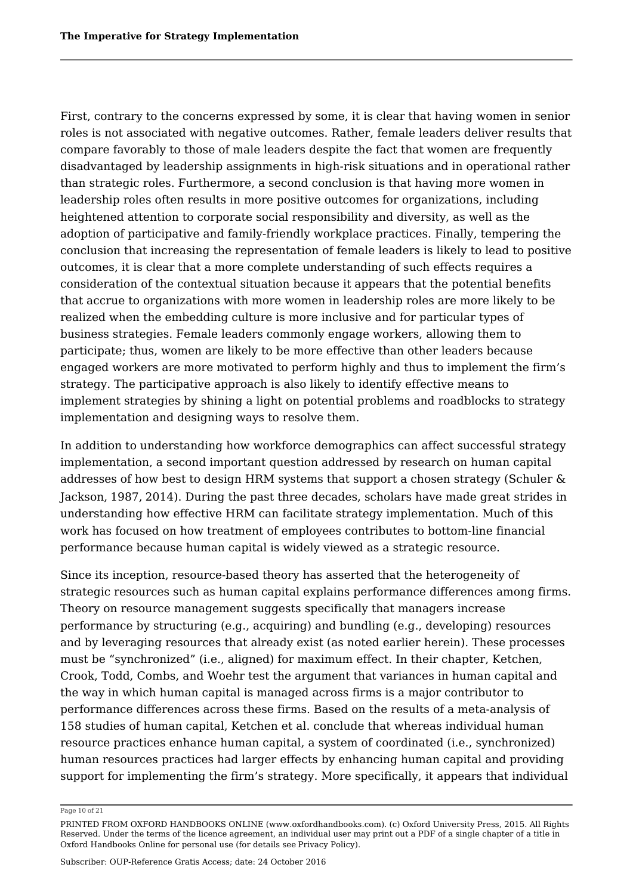First, contrary to the concerns expressed by some, it is clear that having women in senior roles is not associated with negative outcomes. Rather, female leaders deliver results that compare favorably to those of male leaders despite the fact that women are frequently disadvantaged by leadership assignments in high-risk situations and in operational rather than strategic roles. Furthermore, a second conclusion is that having more women in leadership roles often results in more positive outcomes for organizations, including heightened attention to corporate social responsibility and diversity, as well as the adoption of participative and family-friendly workplace practices. Finally, tempering the conclusion that increasing the representation of female leaders is likely to lead to positive outcomes, it is clear that a more complete understanding of such effects requires a consideration of the contextual situation because it appears that the potential benefits that accrue to organizations with more women in leadership roles are more likely to be realized when the embedding culture is more inclusive and for particular types of business strategies. Female leaders commonly engage workers, allowing them to participate; thus, women are likely to be more effective than other leaders because engaged workers are more motivated to perform highly and thus to implement the firm's strategy. The participative approach is also likely to identify effective means to implement strategies by shining a light on potential problems and roadblocks to strategy implementation and designing ways to resolve them.

In addition to understanding how workforce demographics can affect successful strategy implementation, a second important question addressed by research on human capital addresses of how best to design HRM systems that support a chosen strategy (Schuler & Jackson, 1987, 2014). During the past three decades, scholars have made great strides in understanding how effective HRM can facilitate strategy implementation. Much of this work has focused on how treatment of employees contributes to bottom-line financial performance because human capital is widely viewed as a strategic resource.

Since its inception, resource-based theory has asserted that the heterogeneity of strategic resources such as human capital explains performance differences among firms. Theory on resource management suggests specifically that managers increase performance by structuring (e.g., acquiring) and bundling (e.g., developing) resources and by leveraging resources that already exist (as noted earlier herein). These processes must be "synchronized" (i.e., aligned) for maximum effect. In their chapter, Ketchen, Crook, Todd, Combs, and Woehr test the argument that variances in human capital and the way in which human capital is managed across firms is a major contributor to performance differences across these firms. Based on the results of a meta-analysis of 158 studies of human capital, Ketchen et al. conclude that whereas individual human resource practices enhance human capital, a system of coordinated (i.e., synchronized) human resources practices had larger effects by enhancing human capital and providing support for implementing the firm's strategy. More specifically, it appears that individual

#### Page 10 of 21

PRINTED FROM OXFORD HANDBOOKS ONLINE (www.oxfordhandbooks.com). (c) Oxford University Press, 2015. All Rights Reserved. Under the terms of the licence agreement, an individual user may print out a PDF of a single chapter of a title in Oxford Handbooks Online for personal use (for details see Privacy Policy).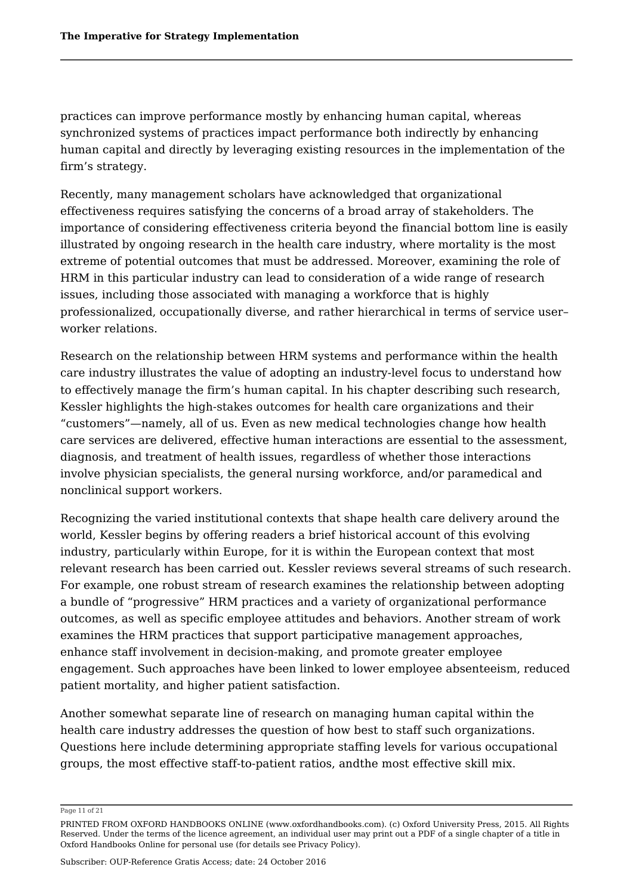practices can improve performance mostly by enhancing human capital, whereas synchronized systems of practices impact performance both indirectly by enhancing human capital and directly by leveraging existing resources in the implementation of the firm's strategy.

Recently, many management scholars have acknowledged that organizational effectiveness requires satisfying the concerns of a broad array of stakeholders. The importance of considering effectiveness criteria beyond the financial bottom line is easily illustrated by ongoing research in the health care industry, where mortality is the most extreme of potential outcomes that must be addressed. Moreover, examining the role of HRM in this particular industry can lead to consideration of a wide range of research issues, including those associated with managing a workforce that is highly professionalized, occupationally diverse, and rather hierarchical in terms of service user– worker relations.

Research on the relationship between HRM systems and performance within the health care industry illustrates the value of adopting an industry-level focus to understand how to effectively manage the firm's human capital. In his chapter describing such research, Kessler highlights the high-stakes outcomes for health care organizations and their "customers"—namely, all of us. Even as new medical technologies change how health care services are delivered, effective human interactions are essential to the assessment, diagnosis, and treatment of health issues, regardless of whether those interactions involve physician specialists, the general nursing workforce, and/or paramedical and nonclinical support workers.

Recognizing the varied institutional contexts that shape health care delivery around the world, Kessler begins by offering readers a brief historical account of this evolving industry, particularly within Europe, for it is within the European context that most relevant research has been carried out. Kessler reviews several streams of such research. For example, one robust stream of research examines the relationship between adopting a bundle of "progressive" HRM practices and a variety of organizational performance outcomes, as well as specific employee attitudes and behaviors. Another stream of work examines the HRM practices that support participative management approaches, enhance staff involvement in decision-making, and promote greater employee engagement. Such approaches have been linked to lower employee absenteeism, reduced patient mortality, and higher patient satisfaction.

Another somewhat separate line of research on managing human capital within the health care industry addresses the question of how best to staff such organizations. Questions here include determining appropriate staffing levels for various occupational groups, the most effective staff-to-patient ratios, andthe most effective skill mix.

Page 11 of 21

PRINTED FROM OXFORD HANDBOOKS ONLINE (www.oxfordhandbooks.com). (c) Oxford University Press, 2015. All Rights Reserved. Under the terms of the licence agreement, an individual user may print out a PDF of a single chapter of a title in Oxford Handbooks Online for personal use (for details see Privacy Policy).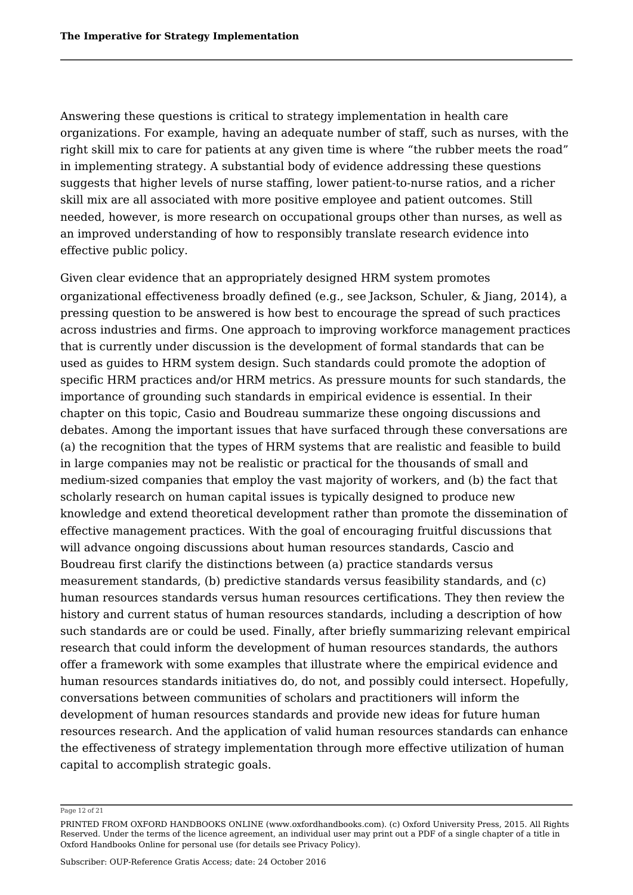Answering these questions is critical to strategy implementation in health care organizations. For example, having an adequate number of staff, such as nurses, with the right skill mix to care for patients at any given time is where "the rubber meets the road" in implementing strategy. A substantial body of evidence addressing these questions suggests that higher levels of nurse staffing, lower patient-to-nurse ratios, and a richer skill mix are all associated with more positive employee and patient outcomes. Still needed, however, is more research on occupational groups other than nurses, as well as an improved understanding of how to responsibly translate research evidence into effective public policy.

Given clear evidence that an appropriately designed HRM system promotes organizational effectiveness broadly defined (e.g., see Jackson, Schuler, & Jiang, 2014), a pressing question to be answered is how best to encourage the spread of such practices across industries and firms. One approach to improving workforce management practices that is currently under discussion is the development of formal standards that can be used as guides to HRM system design. Such standards could promote the adoption of specific HRM practices and/or HRM metrics. As pressure mounts for such standards, the importance of grounding such standards in empirical evidence is essential. In their chapter on this topic, Casio and Boudreau summarize these ongoing discussions and debates. Among the important issues that have surfaced through these conversations are (a) the recognition that the types of HRM systems that are realistic and feasible to build in large companies may not be realistic or practical for the thousands of small and medium-sized companies that employ the vast majority of workers, and (b) the fact that scholarly research on human capital issues is typically designed to produce new knowledge and extend theoretical development rather than promote the dissemination of effective management practices. With the goal of encouraging fruitful discussions that will advance ongoing discussions about human resources standards, Cascio and Boudreau first clarify the distinctions between (a) practice standards versus measurement standards, (b) predictive standards versus feasibility standards, and (c) human resources standards versus human resources certifications. They then review the history and current status of human resources standards, including a description of how such standards are or could be used. Finally, after briefly summarizing relevant empirical research that could inform the development of human resources standards, the authors offer a framework with some examples that illustrate where the empirical evidence and human resources standards initiatives do, do not, and possibly could intersect. Hopefully, conversations between communities of scholars and practitioners will inform the development of human resources standards and provide new ideas for future human resources research. And the application of valid human resources standards can enhance the effectiveness of strategy implementation through more effective utilization of human capital to accomplish strategic goals.

Page 12 of 21

PRINTED FROM OXFORD HANDBOOKS ONLINE (www.oxfordhandbooks.com). (c) Oxford University Press, 2015. All Rights Reserved. Under the terms of the licence agreement, an individual user may print out a PDF of a single chapter of a title in Oxford Handbooks Online for personal use (for details see Privacy Policy).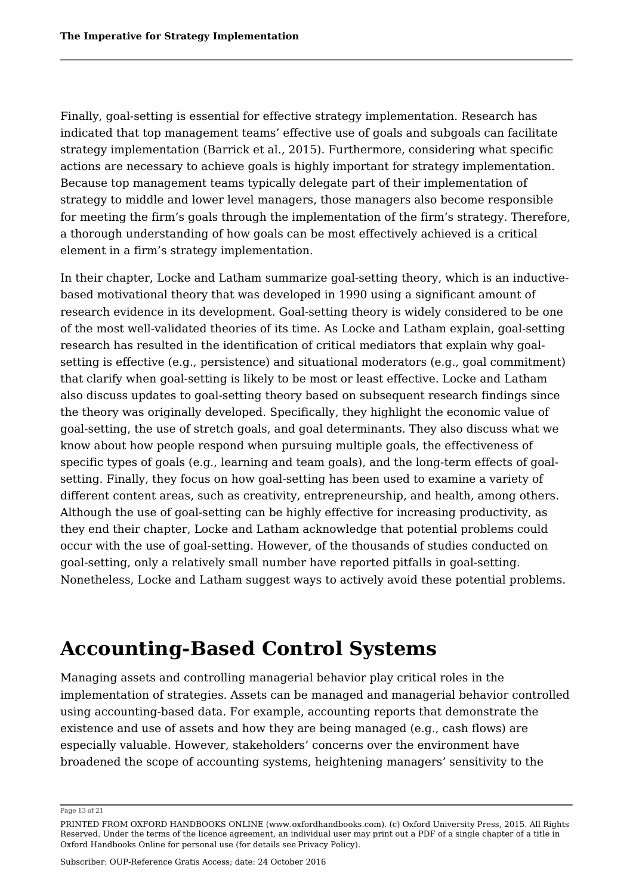Finally, goal-setting is essential for effective strategy implementation. Research has indicated that top management teams' effective use of goals and subgoals can facilitate strategy implementation (Barrick et al., 2015). Furthermore, considering what specific actions are necessary to achieve goals is highly important for strategy implementation. Because top management teams typically delegate part of their implementation of strategy to middle and lower level managers, those managers also become responsible for meeting the firm's goals through the implementation of the firm's strategy. Therefore, a thorough understanding of how goals can be most effectively achieved is a critical element in a firm's strategy implementation.

In their chapter, Locke and Latham summarize goal-setting theory, which is an inductivebased motivational theory that was developed in 1990 using a significant amount of research evidence in its development. Goal-setting theory is widely considered to be one of the most well-validated theories of its time. As Locke and Latham explain, goal-setting research has resulted in the identification of critical mediators that explain why goalsetting is effective (e.g., persistence) and situational moderators (e.g., goal commitment) that clarify when goal-setting is likely to be most or least effective. Locke and Latham also discuss updates to goal-setting theory based on subsequent research findings since the theory was originally developed. Specifically, they highlight the economic value of goal-setting, the use of stretch goals, and goal determinants. They also discuss what we know about how people respond when pursuing multiple goals, the effectiveness of specific types of goals (e.g., learning and team goals), and the long-term effects of goalsetting. Finally, they focus on how goal-setting has been used to examine a variety of different content areas, such as creativity, entrepreneurship, and health, among others. Although the use of goal-setting can be highly effective for increasing productivity, as they end their chapter, Locke and Latham acknowledge that potential problems could occur with the use of goal-setting. However, of the thousands of studies conducted on goal-setting, only a relatively small number have reported pitfalls in goal-setting. Nonetheless, Locke and Latham suggest ways to actively avoid these potential problems.

## **Accounting-Based Control Systems**

Managing assets and controlling managerial behavior play critical roles in the implementation of strategies. Assets can be managed and managerial behavior controlled using accounting-based data. For example, accounting reports that demonstrate the existence and use of assets and how they are being managed (e.g., cash flows) are especially valuable. However, stakeholders' concerns over the environment have broadened the scope of accounting systems, heightening managers' sensitivity to the

Page 13 of 21

PRINTED FROM OXFORD HANDBOOKS ONLINE (www.oxfordhandbooks.com). (c) Oxford University Press, 2015. All Rights Reserved. Under the terms of the licence agreement, an individual user may print out a PDF of a single chapter of a title in Oxford Handbooks Online for personal use (for details see Privacy Policy).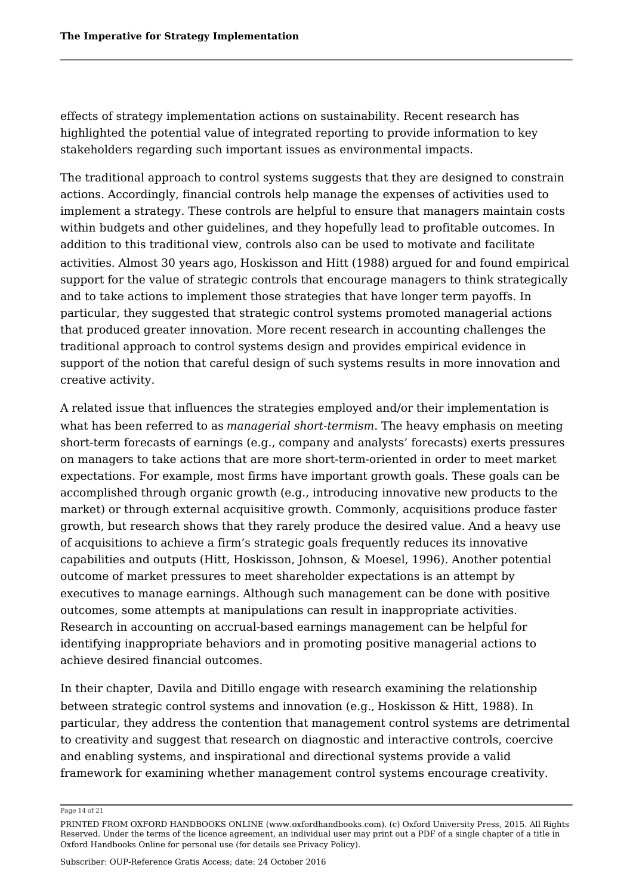effects of strategy implementation actions on sustainability. Recent research has highlighted the potential value of integrated reporting to provide information to key stakeholders regarding such important issues as environmental impacts.

The traditional approach to control systems suggests that they are designed to constrain actions. Accordingly, financial controls help manage the expenses of activities used to implement a strategy. These controls are helpful to ensure that managers maintain costs within budgets and other guidelines, and they hopefully lead to profitable outcomes. In addition to this traditional view, controls also can be used to motivate and facilitate activities. Almost 30 years ago, Hoskisson and Hitt (1988) argued for and found empirical support for the value of strategic controls that encourage managers to think strategically and to take actions to implement those strategies that have longer term payoffs. In particular, they suggested that strategic control systems promoted managerial actions that produced greater innovation. More recent research in accounting challenges the traditional approach to control systems design and provides empirical evidence in support of the notion that careful design of such systems results in more innovation and creative activity.

A related issue that influences the strategies employed and/or their implementation is what has been referred to as *managerial short-termism*. The heavy emphasis on meeting short-term forecasts of earnings (e.g., company and analysts' forecasts) exerts pressures on managers to take actions that are more short-term-oriented in order to meet market expectations. For example, most firms have important growth goals. These goals can be accomplished through organic growth (e.g., introducing innovative new products to the market) or through external acquisitive growth. Commonly, acquisitions produce faster growth, but research shows that they rarely produce the desired value. And a heavy use of acquisitions to achieve a firm's strategic goals frequently reduces its innovative capabilities and outputs (Hitt, Hoskisson, Johnson, & Moesel, 1996). Another potential outcome of market pressures to meet shareholder expectations is an attempt by executives to manage earnings. Although such management can be done with positive outcomes, some attempts at manipulations can result in inappropriate activities. Research in accounting on accrual-based earnings management can be helpful for identifying inappropriate behaviors and in promoting positive managerial actions to achieve desired financial outcomes.

In their chapter, Davila and Ditillo engage with research examining the relationship between strategic control systems and innovation (e.g., Hoskisson & Hitt, 1988). In particular, they address the contention that management control systems are detrimental to creativity and suggest that research on diagnostic and interactive controls, coercive and enabling systems, and inspirational and directional systems provide a valid framework for examining whether management control systems encourage creativity.

Page 14 of 21

PRINTED FROM OXFORD HANDBOOKS ONLINE (www.oxfordhandbooks.com). (c) Oxford University Press, 2015. All Rights Reserved. Under the terms of the licence agreement, an individual user may print out a PDF of a single chapter of a title in Oxford Handbooks Online for personal use (for details see Privacy Policy).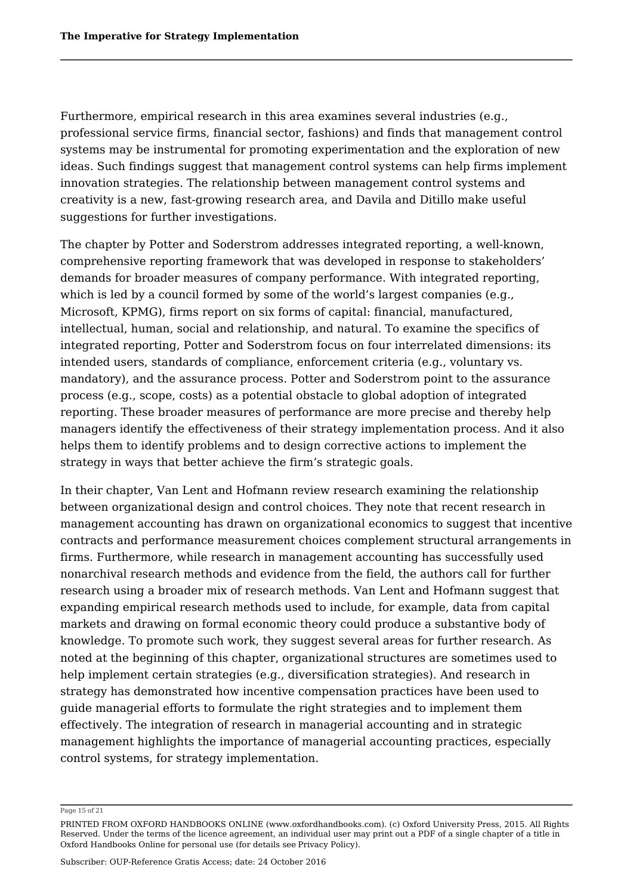Furthermore, empirical research in this area examines several industries (e.g., professional service firms, financial sector, fashions) and finds that management control systems may be instrumental for promoting experimentation and the exploration of new ideas. Such findings suggest that management control systems can help firms implement innovation strategies. The relationship between management control systems and creativity is a new, fast-growing research area, and Davila and Ditillo make useful suggestions for further investigations.

The chapter by Potter and Soderstrom addresses integrated reporting, a well-known, comprehensive reporting framework that was developed in response to stakeholders' demands for broader measures of company performance. With integrated reporting, which is led by a council formed by some of the world's largest companies (e.g., Microsoft, KPMG), firms report on six forms of capital: financial, manufactured, intellectual, human, social and relationship, and natural. To examine the specifics of integrated reporting, Potter and Soderstrom focus on four interrelated dimensions: its intended users, standards of compliance, enforcement criteria (e.g., voluntary vs. mandatory), and the assurance process. Potter and Soderstrom point to the assurance process (e.g., scope, costs) as a potential obstacle to global adoption of integrated reporting. These broader measures of performance are more precise and thereby help managers identify the effectiveness of their strategy implementation process. And it also helps them to identify problems and to design corrective actions to implement the strategy in ways that better achieve the firm's strategic goals.

In their chapter, Van Lent and Hofmann review research examining the relationship between organizational design and control choices. They note that recent research in management accounting has drawn on organizational economics to suggest that incentive contracts and performance measurement choices complement structural arrangements in firms. Furthermore, while research in management accounting has successfully used nonarchival research methods and evidence from the field, the authors call for further research using a broader mix of research methods. Van Lent and Hofmann suggest that expanding empirical research methods used to include, for example, data from capital markets and drawing on formal economic theory could produce a substantive body of knowledge. To promote such work, they suggest several areas for further research. As noted at the beginning of this chapter, organizational structures are sometimes used to help implement certain strategies (e.g., diversification strategies). And research in strategy has demonstrated how incentive compensation practices have been used to guide managerial efforts to formulate the right strategies and to implement them effectively. The integration of research in managerial accounting and in strategic management highlights the importance of managerial accounting practices, especially control systems, for strategy implementation.

Page 15 of 21

PRINTED FROM OXFORD HANDBOOKS ONLINE (www.oxfordhandbooks.com). (c) Oxford University Press, 2015. All Rights Reserved. Under the terms of the licence agreement, an individual user may print out a PDF of a single chapter of a title in Oxford Handbooks Online for personal use (for details see Privacy Policy).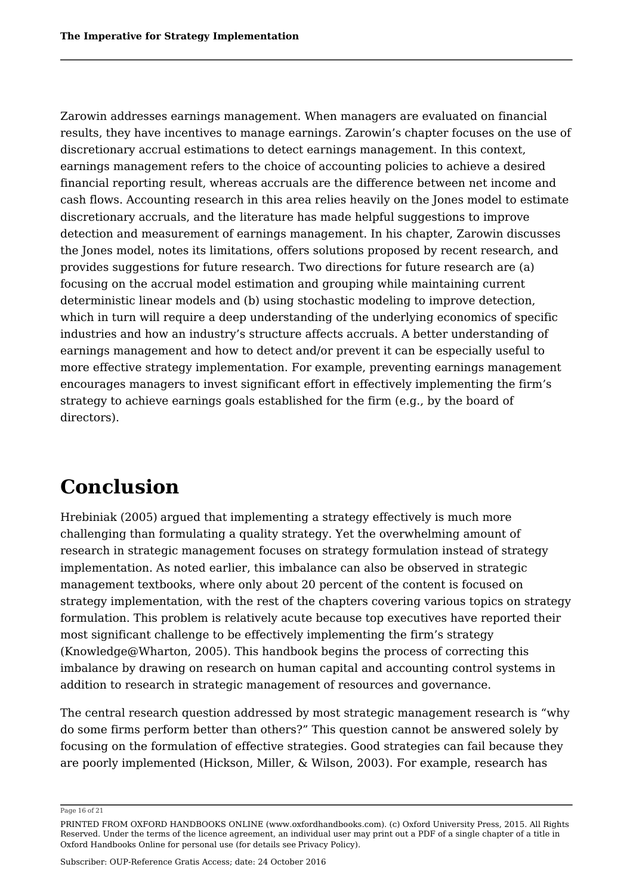Zarowin addresses earnings management. When managers are evaluated on financial results, they have incentives to manage earnings. Zarowin's chapter focuses on the use of discretionary accrual estimations to detect earnings management. In this context, earnings management refers to the choice of accounting policies to achieve a desired financial reporting result, whereas accruals are the difference between net income and cash flows. Accounting research in this area relies heavily on the Jones model to estimate discretionary accruals, and the literature has made helpful suggestions to improve detection and measurement of earnings management. In his chapter, Zarowin discusses the Jones model, notes its limitations, offers solutions proposed by recent research, and provides suggestions for future research. Two directions for future research are (a) focusing on the accrual model estimation and grouping while maintaining current deterministic linear models and (b) using stochastic modeling to improve detection, which in turn will require a deep understanding of the underlying economics of specific industries and how an industry's structure affects accruals. A better understanding of earnings management and how to detect and/or prevent it can be especially useful to more effective strategy implementation. For example, preventing earnings management encourages managers to invest significant effort in effectively implementing the firm's strategy to achieve earnings goals established for the firm (e.g., by the board of directors).

# **Conclusion**

Hrebiniak (2005) argued that implementing a strategy effectively is much more challenging than formulating a quality strategy. Yet the overwhelming amount of research in strategic management focuses on strategy formulation instead of strategy implementation. As noted earlier, this imbalance can also be observed in strategic management textbooks, where only about 20 percent of the content is focused on strategy implementation, with the rest of the chapters covering various topics on strategy formulation. This problem is relatively acute because top executives have reported their most significant challenge to be effectively implementing the firm's strategy (Knowledge@Wharton, 2005). This handbook begins the process of correcting this imbalance by drawing on research on human capital and accounting control systems in addition to research in strategic management of resources and governance.

The central research question addressed by most strategic management research is "why do some firms perform better than others?" This question cannot be answered solely by focusing on the formulation of effective strategies. Good strategies can fail because they are poorly implemented (Hickson, Miller, & Wilson, 2003). For example, research has

Page 16 of 21

PRINTED FROM OXFORD HANDBOOKS ONLINE (www.oxfordhandbooks.com). (c) Oxford University Press, 2015. All Rights Reserved. Under the terms of the licence agreement, an individual user may print out a PDF of a single chapter of a title in Oxford Handbooks Online for personal use (for details see Privacy Policy).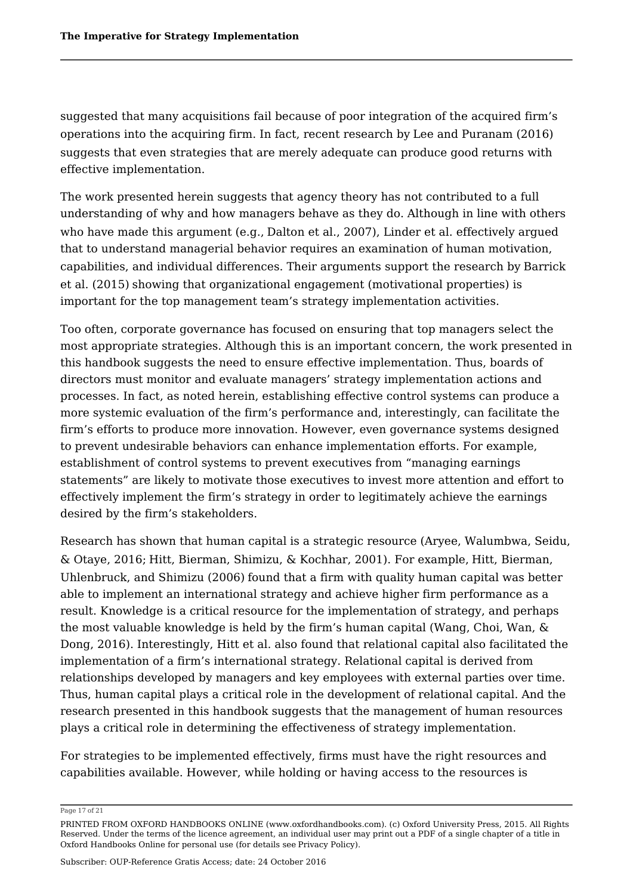suggested that many acquisitions fail because of poor integration of the acquired firm's operations into the acquiring firm. In fact, recent research by Lee and Puranam (2016) suggests that even strategies that are merely adequate can produce good returns with effective implementation.

The work presented herein suggests that agency theory has not contributed to a full understanding of why and how managers behave as they do. Although in line with others who have made this argument (e.g., Dalton et al., 2007), Linder et al. effectively argued that to understand managerial behavior requires an examination of human motivation, capabilities, and individual differences. Their arguments support the research by Barrick et al. (2015) showing that organizational engagement (motivational properties) is important for the top management team's strategy implementation activities.

Too often, corporate governance has focused on ensuring that top managers select the most appropriate strategies. Although this is an important concern, the work presented in this handbook suggests the need to ensure effective implementation. Thus, boards of directors must monitor and evaluate managers' strategy implementation actions and processes. In fact, as noted herein, establishing effective control systems can produce a more systemic evaluation of the firm's performance and, interestingly, can facilitate the firm's efforts to produce more innovation. However, even governance systems designed to prevent undesirable behaviors can enhance implementation efforts. For example, establishment of control systems to prevent executives from "managing earnings statements" are likely to motivate those executives to invest more attention and effort to effectively implement the firm's strategy in order to legitimately achieve the earnings desired by the firm's stakeholders.

Research has shown that human capital is a strategic resource (Aryee, Walumbwa, Seidu, & Otaye, 2016; Hitt, Bierman, Shimizu, & Kochhar, 2001). For example, Hitt, Bierman, Uhlenbruck, and Shimizu (2006) found that a firm with quality human capital was better able to implement an international strategy and achieve higher firm performance as a result. Knowledge is a critical resource for the implementation of strategy, and perhaps the most valuable knowledge is held by the firm's human capital (Wang, Choi, Wan, & Dong, 2016). Interestingly, Hitt et al. also found that relational capital also facilitated the implementation of a firm's international strategy. Relational capital is derived from relationships developed by managers and key employees with external parties over time. Thus, human capital plays a critical role in the development of relational capital. And the research presented in this handbook suggests that the management of human resources plays a critical role in determining the effectiveness of strategy implementation.

For strategies to be implemented effectively, firms must have the right resources and capabilities available. However, while holding or having access to the resources is

Page 17 of 21

PRINTED FROM OXFORD HANDBOOKS ONLINE (www.oxfordhandbooks.com). (c) Oxford University Press, 2015. All Rights Reserved. Under the terms of the licence agreement, an individual user may print out a PDF of a single chapter of a title in Oxford Handbooks Online for personal use (for details see Privacy Policy).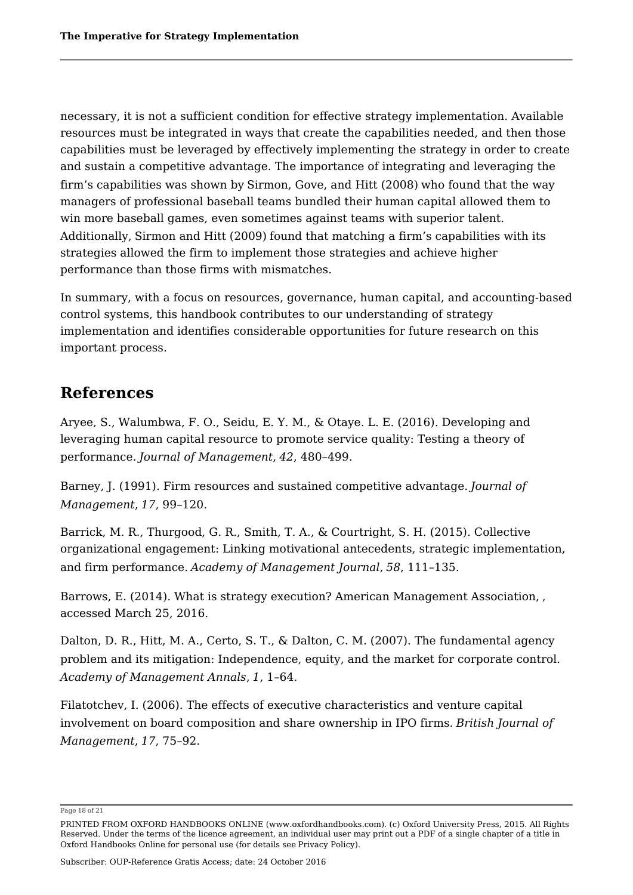necessary, it is not a sufficient condition for effective strategy implementation. Available resources must be integrated in ways that create the capabilities needed, and then those capabilities must be leveraged by effectively implementing the strategy in order to create and sustain a competitive advantage. The importance of integrating and leveraging the firm's capabilities was shown by Sirmon, Gove, and Hitt (2008) who found that the way managers of professional baseball teams bundled their human capital allowed them to win more baseball games, even sometimes against teams with superior talent. Additionally, Sirmon and Hitt (2009) found that matching a firm's capabilities with its strategies allowed the firm to implement those strategies and achieve higher performance than those firms with mismatches.

In summary, with a focus on resources, governance, human capital, and accounting-based control systems, this handbook contributes to our understanding of strategy implementation and identifies considerable opportunities for future research on this important process.

### **References**

Aryee, S., Walumbwa, F. O., Seidu, E. Y. M., & Otaye. L. E. (2016). Developing and leveraging human capital resource to promote service quality: Testing a theory of performance. *Journal of Management*, *42*, 480–499.

Barney, J. (1991). Firm resources and sustained competitive advantage. *Journal of Management*, *17*, 99–120.

Barrick, M. R., Thurgood, G. R., Smith, T. A., & Courtright, S. H. (2015). Collective organizational engagement: Linking motivational antecedents, strategic implementation, and firm performance. *Academy of Management Journal*, *58*, 111–135.

Barrows, E. (2014). What is strategy execution? American Management Association, , accessed March 25, 2016.

Dalton, D. R., Hitt, M. A., Certo, S. T., & Dalton, C. M. (2007). The fundamental agency problem and its mitigation: Independence, equity, and the market for corporate control. *Academy of Management Annals*, *1*, 1–64.

Filatotchev, I. (2006). The effects of executive characteristics and venture capital involvement on board composition and share ownership in IPO firms. *British Journal of Management*, *17*, 75–92.

Page 18 of 21

Subscriber: OUP-Reference Gratis Access; date: 24 October 2016

PRINTED FROM OXFORD HANDBOOKS ONLINE (www.oxfordhandbooks.com). (c) Oxford University Press, 2015. All Rights Reserved. Under the terms of the licence agreement, an individual user may print out a PDF of a single chapter of a title in Oxford Handbooks Online for personal use (for details see Privacy Policy).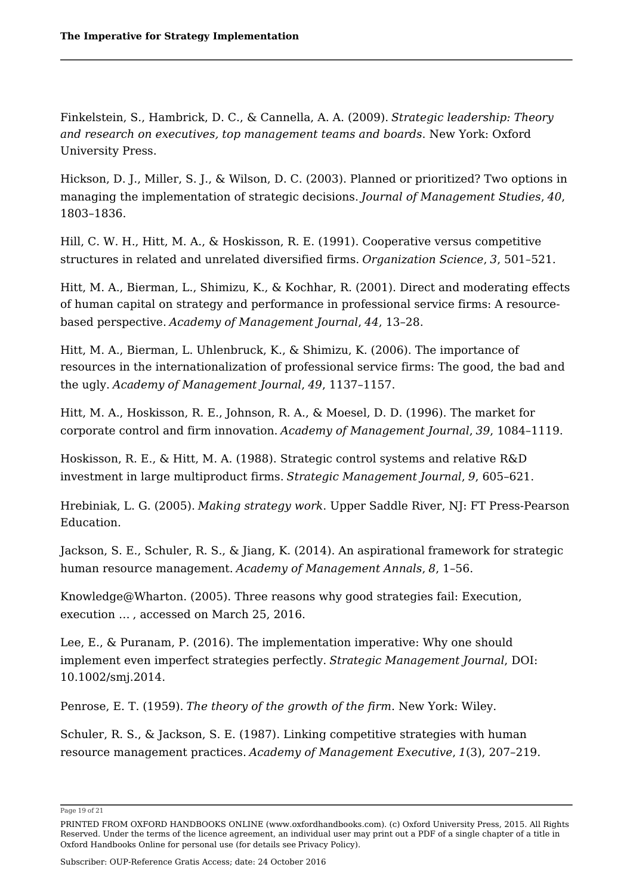Finkelstein, S., Hambrick, D. C., & Cannella, A. A. (2009). *Strategic leadership: Theory and research on executives, top management teams and boards*. New York: Oxford University Press.

Hickson, D. J., Miller, S. J., & Wilson, D. C. (2003). Planned or prioritized? Two options in managing the implementation of strategic decisions. *Journal of Management Studies*, *40*, 1803–1836.

Hill, C. W. H., Hitt, M. A., & Hoskisson, R. E. (1991). Cooperative versus competitive structures in related and unrelated diversified firms. *Organization Science*, *3*, 501–521.

Hitt, M. A., Bierman, L., Shimizu, K., & Kochhar, R. (2001). Direct and moderating effects of human capital on strategy and performance in professional service firms: A resourcebased perspective. *Academy of Management Journal*, *44*, 13–28.

Hitt, M. A., Bierman, L. Uhlenbruck, K., & Shimizu, K. (2006). The importance of resources in the internationalization of professional service firms: The good, the bad and the ugly. *Academy of Management Journal*, *49*, 1137–1157.

Hitt, M. A., Hoskisson, R. E., Johnson, R. A., & Moesel, D. D. (1996). The market for corporate control and firm innovation. *Academy of Management Journal*, *39*, 1084–1119.

Hoskisson, R. E., & Hitt, M. A. (1988). Strategic control systems and relative R&D investment in large multiproduct firms. *Strategic Management Journal*, *9*, 605–621.

Hrebiniak, L. G. (2005). *Making strategy work*. Upper Saddle River, NJ: FT Press-Pearson Education.

Jackson, S. E., Schuler, R. S., & Jiang, K. (2014). An aspirational framework for strategic human resource management. *Academy of Management Annals*, *8*, 1–56.

Knowledge@Wharton. (2005). Three reasons why good strategies fail: Execution, execution … , accessed on March 25, 2016.

Lee, E., & Puranam, P. (2016). The implementation imperative: Why one should implement even imperfect strategies perfectly. *Strategic Management Journal*, DOI: 10.1002/smj.2014.

Penrose, E. T. (1959). *The theory of the growth of the firm*. New York: Wiley.

Schuler, R. S., & Jackson, S. E. (1987). Linking competitive strategies with human resource management practices. *Academy of Management Executive*, *1*(3), 207–219.

Subscriber: OUP-Reference Gratis Access; date: 24 October 2016

Page 19 of 21

PRINTED FROM OXFORD HANDBOOKS ONLINE (www.oxfordhandbooks.com). (c) Oxford University Press, 2015. All Rights Reserved. Under the terms of the licence agreement, an individual user may print out a PDF of a single chapter of a title in Oxford Handbooks Online for personal use (for details see Privacy Policy).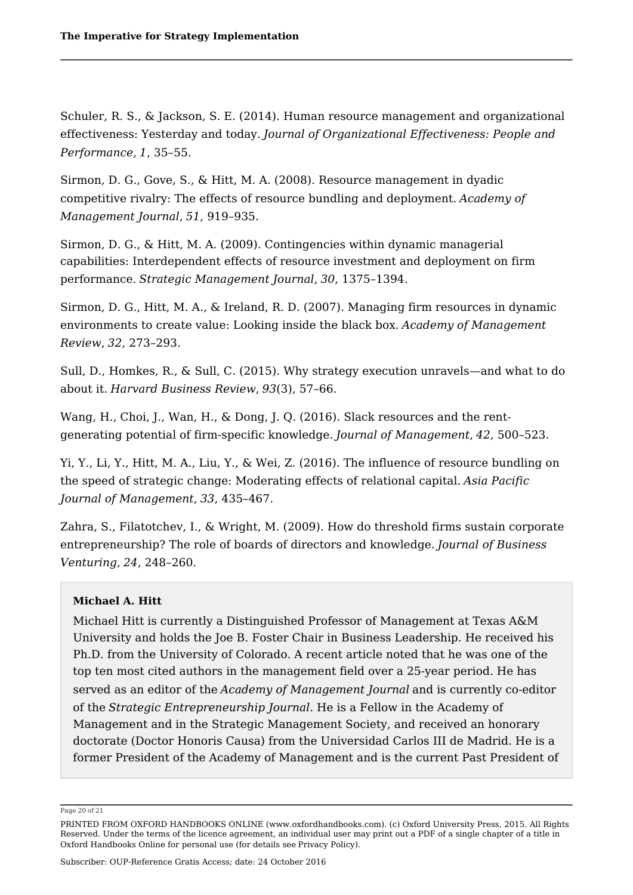Schuler, R. S., & Jackson, S. E. (2014). Human resource management and organizational effectiveness: Yesterday and today. *Journal of Organizational Effectiveness: People and Performance*, *1*, 35–55.

Sirmon, D. G., Gove, S., & Hitt, M. A. (2008). Resource management in dyadic competitive rivalry: The effects of resource bundling and deployment. *Academy of Management Journal*, *51*, 919–935.

Sirmon, D. G., & Hitt, M. A. (2009). Contingencies within dynamic managerial capabilities: Interdependent effects of resource investment and deployment on firm performance. *Strategic Management Journal*, *30*, 1375–1394.

Sirmon, D. G., Hitt, M. A., & Ireland, R. D. (2007). Managing firm resources in dynamic environments to create value: Looking inside the black box. *Academy of Management Review*, *32*, 273–293.

Sull, D., Homkes, R., & Sull, C. (2015). Why strategy execution unravels—and what to do about it. *Harvard Business Review*, *93*(3), 57–66.

Wang, H., Choi, J., Wan, H., & Dong, J. Q. (2016). Slack resources and the rentgenerating potential of firm-specific knowledge. *Journal of Management*, *42*, 500–523.

Yi, Y., Li, Y., Hitt, M. A., Liu, Y., & Wei, Z. (2016). The influence of resource bundling on the speed of strategic change: Moderating effects of relational capital. *Asia Pacific Journal of Management*, *33*, 435–467.

Zahra, S., Filatotchev, I., & Wright, M. (2009). How do threshold firms sustain corporate entrepreneurship? The role of boards of directors and knowledge. *Journal of Business Venturing*, *24*, 248–260.

### **Michael A. Hitt**

Michael Hitt is currently a Distinguished Professor of Management at Texas A&M University and holds the Joe B. Foster Chair in Business Leadership. He received his Ph.D. from the University of Colorado. A recent article noted that he was one of the top ten most cited authors in the management field over a 25-year period. He has served as an editor of the *Academy of Management Journal* and is currently co-editor of the *Strategic Entrepreneurship Journal*. He is a Fellow in the Academy of Management and in the Strategic Management Society, and received an honorary doctorate (Doctor Honoris Causa) from the Universidad Carlos III de Madrid. He is a former President of the Academy of Management and is the current Past President of

Page 20 of 21

PRINTED FROM OXFORD HANDBOOKS ONLINE (www.oxfordhandbooks.com). (c) Oxford University Press, 2015. All Rights Reserved. Under the terms of the licence agreement, an individual user may print out a PDF of a single chapter of a title in Oxford Handbooks Online for personal use (for details see Privacy Policy).